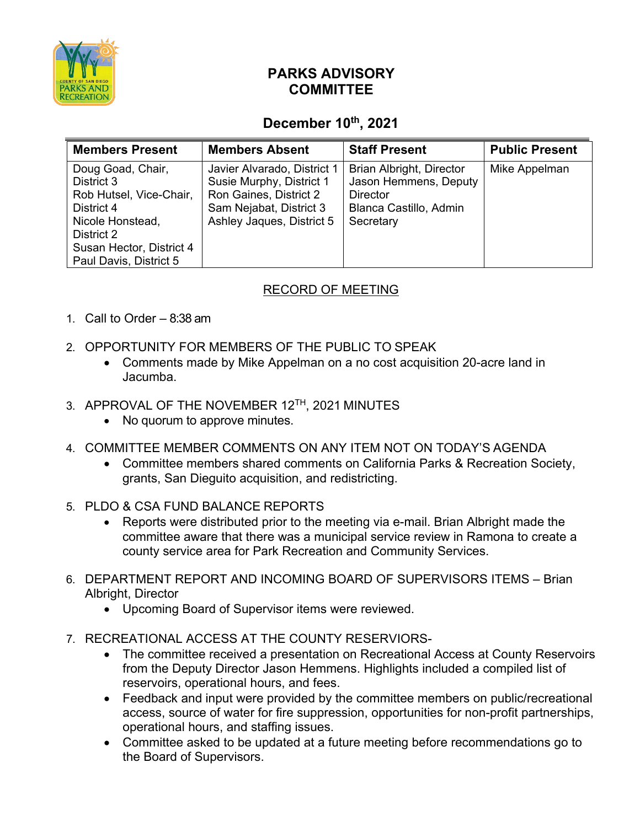

## **PARKS ADVISORY COMMITTEE**

## **December 10th, 2021**

| <b>Members Present</b>                                                                                                                                           | <b>Members Absent</b>                                                                                                                     | <b>Staff Present</b>                                                                                        | <b>Public Present</b> |
|------------------------------------------------------------------------------------------------------------------------------------------------------------------|-------------------------------------------------------------------------------------------------------------------------------------------|-------------------------------------------------------------------------------------------------------------|-----------------------|
| Doug Goad, Chair,<br>District 3<br>Rob Hutsel, Vice-Chair,<br>District 4<br>Nicole Honstead,<br>District 2<br>Susan Hector, District 4<br>Paul Davis, District 5 | Javier Alvarado, District 1<br>Susie Murphy, District 1<br>Ron Gaines, District 2<br>Sam Nejabat, District 3<br>Ashley Jaques, District 5 | Brian Albright, Director<br>Jason Hemmens, Deputy<br><b>Director</b><br>Blanca Castillo, Admin<br>Secretary | Mike Appelman         |

## RECORD OF MEETING

- 1. Call to Order 8:38 am
- 2. OPPORTUNITY FOR MEMBERS OF THE PUBLIC TO SPEAK
	- Comments made by Mike Appelman on a no cost acquisition 20-acre land in Jacumba.
- 3. APPROVAL OF THE NOVEMBER 12TH, 2021 MINUTES
	- No quorum to approve minutes.
- 4. COMMITTEE MEMBER COMMENTS ON ANY ITEM NOT ON TODAY'S AGENDA
	- Committee members shared comments on California Parks & Recreation Society, grants, San Dieguito acquisition, and redistricting.
- 5. PLDO & CSA FUND BALANCE REPORTS
	- Reports were distributed prior to the meeting via e-mail. Brian Albright made the committee aware that there was a municipal service review in Ramona to create a county service area for Park Recreation and Community Services.
- 6. DEPARTMENT REPORT AND INCOMING BOARD OF SUPERVISORS ITEMS Brian Albright, Director
	- Upcoming Board of Supervisor items were reviewed.
- 7. RECREATIONAL ACCESS AT THE COUNTY RESERVIORS-
	- The committee received a presentation on Recreational Access at County Reservoirs from the Deputy Director Jason Hemmens. Highlights included a compiled list of reservoirs, operational hours, and fees.
	- Feedback and input were provided by the committee members on public/recreational access, source of water for fire suppression, opportunities for non-profit partnerships, operational hours, and staffing issues.
	- Committee asked to be updated at a future meeting before recommendations go to the Board of Supervisors.